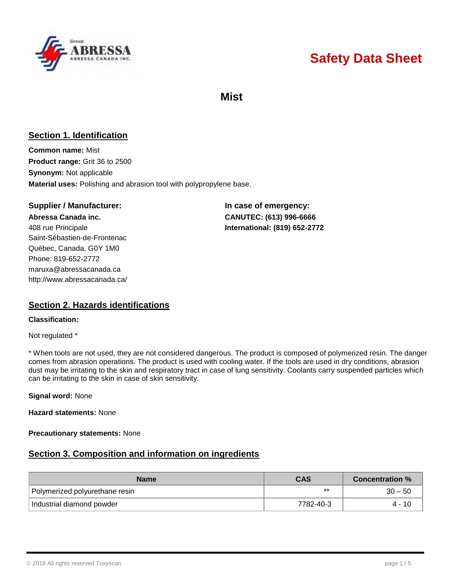

# **Safety Data Sheet**

**Mist**

# **Section 1. Identification**

**Common name:** Mist **Product range:** Grit 36 to 2500 **Synonym:** Not applicable **Material uses:** Polishing and abrasion tool with polypropylene base.

### **Supplier / Manufacturer: In case of emergency:**

**Abressa Canada inc. CANUTEC: (613) 996-6666** 408 rue Principale **International: (819) 652-2772** Saint-Sébastien-de-Frontenac Québec, Canada, G0Y 1M0 Phone: 819-652-2772 [maruxa@abressacanada.ca](mailto:maruxa@abressacanada.ca) <http://www.abressacanada.ca/>

## **Section 2. Hazards identifications**

#### **Classification:**

Not regulated \*

\* When tools are not used, they are not considered dangerous. The product is composed of polymerized resin. The danger comes from abrasion operations. The product is used with cooling water. If the tools are used in dry conditions, abrasion dust may be irritating to the skin and respiratory tract in case of lung sensitivity. Coolants carry suspended particles which can be irritating to the skin in case of skin sensitivity.

**Signal word:** None

**Hazard statements:** None

**Precautionary statements:** None

## **Section 3. Composition and information on ingredients**

| <b>Name</b>                    | <b>CAS</b> | <b>Concentration %</b> |
|--------------------------------|------------|------------------------|
| Polymerized polyurethane resin | $***$      | $30 - 50$              |
| Industrial diamond powder      | 7782-40-3  | 4 - 10                 |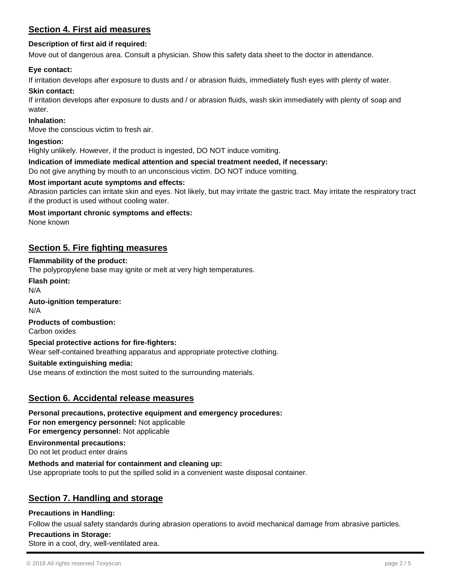# **Section 4. First aid measures**

### **Description of first aid if required:**

Move out of dangerous area. Consult a physician. Show this safety data sheet to the doctor in attendance.

#### **Eye contact:**

If irritation develops after exposure to dusts and / or abrasion fluids, immediately flush eyes with plenty of water.

#### **Skin contact:**

If irritation develops after exposure to dusts and / or abrasion fluids, wash skin immediately with plenty of soap and water.

#### **Inhalation:**

Move the conscious victim to fresh air.

#### **Ingestion:**

Highly unlikely. However, if the product is ingested, DO NOT induce vomiting.

#### **Indication of immediate medical attention and special treatment needed, if necessary:**

Do not give anything by mouth to an unconscious victim. DO NOT induce vomiting.

#### **Most important acute symptoms and effects:**

Abrasion particles can irritate skin and eyes. Not likely, but may irritate the gastric tract. May irritate the respiratory tract if the product is used without cooling water.

#### **Most important chronic symptoms and effects:**

None known

### **Section 5. Fire fighting measures**

#### **Flammability of the product:**

The polypropylene base may ignite or melt at very high temperatures.

**Flash point:** N/A **Auto-ignition temperature:** N/A **Products of combustion:** Carbon oxides **Special protective actions for fire-fighters:**

Wear self-contained breathing apparatus and appropriate protective clothing.

#### **Suitable extinguishing media:**

Use means of extinction the most suited to the surrounding materials.

### **Section 6. Accidental release measures**

**Personal precautions, protective equipment and emergency procedures: For non emergency personnel:** Not applicable **For emergency personnel:** Not applicable

**Environmental precautions:**

Do not let product enter drains

# **Methods and material for containment and cleaning up:**

Use appropriate tools to put the spilled solid in a convenient waste disposal container.

## **Section 7. Handling and storage**

### **Precautions in Handling:**

Follow the usual safety standards during abrasion operations to avoid mechanical damage from abrasive particles.

**Precautions in Storage:** Store in a cool, dry, well-ventilated area.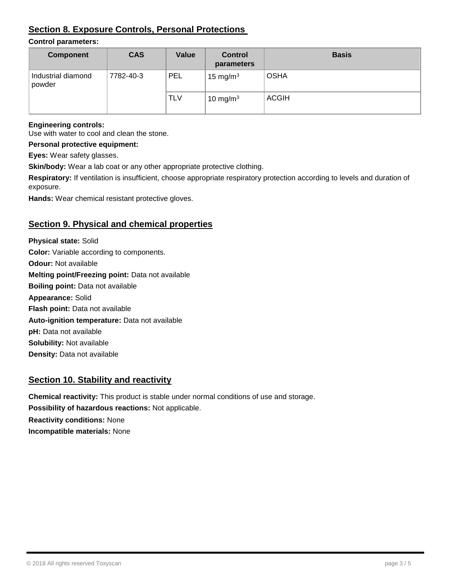# **Section 8. Exposure Controls, Personal Protections**

### **Control parameters:**

| <b>Component</b>             | <b>CAS</b> | Value      | <b>Control</b><br>parameters | <b>Basis</b> |
|------------------------------|------------|------------|------------------------------|--------------|
| Industrial diamond<br>powder | 7782-40-3  | <b>PEL</b> | 15 mg/m $3$                  | <b>OSHA</b>  |
|                              |            | <b>TLV</b> | 10 mg/m $3$                  | <b>ACGIH</b> |

### **Engineering controls:**

Use with water to cool and clean the stone.

### **Personal protective equipment:**

**Eyes:** Wear safety glasses.

Skin/body: Wear a lab coat or any other appropriate protective clothing.

**Respiratory:** If ventilation is insufficient, choose appropriate respiratory protection according to levels and duration of exposure.

**Hands:** Wear chemical resistant protective gloves.

# **Section 9. Physical and chemical properties**

**Physical state:** Solid **Color:** Variable according to components. **Odour:** Not available **Melting point/Freezing point:** Data not available **Boiling point:** Data not available **Appearance:** Solid **Flash point:** Data not available **Auto-ignition temperature:** Data not available **pH:** Data not available **Solubility:** Not available **Density:** Data not available

## **Section 10. Stability and reactivity**

**Chemical reactivity:** This product is stable under normal conditions of use and storage. **Possibility of hazardous reactions:** Not applicable. **Reactivity conditions:** None **Incompatible materials:** None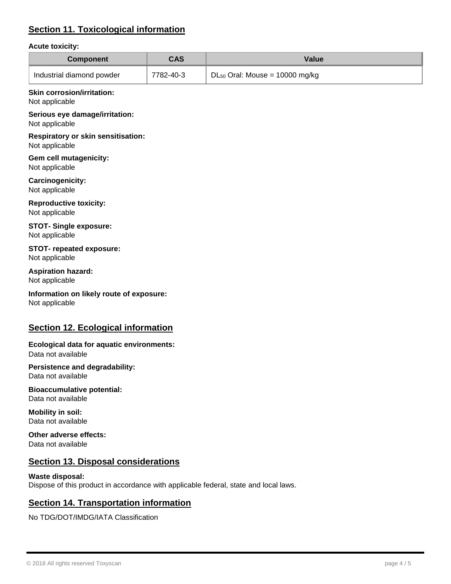# **Section 11. Toxicological information**

### **Acute toxicity:**

| <b>Component</b>                                                | <b>CAS</b> | Value                               |  |  |
|-----------------------------------------------------------------|------------|-------------------------------------|--|--|
| Industrial diamond powder                                       | 7782-40-3  | $DL_{50}$ Oral: Mouse = 10000 mg/kg |  |  |
| <b>Skin corrosion/irritation:</b><br>Not applicable             |            |                                     |  |  |
| Serious eye damage/irritation:<br>Not applicable                |            |                                     |  |  |
| <b>Respiratory or skin sensitisation:</b><br>Not applicable     |            |                                     |  |  |
| Gem cell mutagenicity:<br>Not applicable                        |            |                                     |  |  |
| Carcinogenicity:<br>Not applicable                              |            |                                     |  |  |
| <b>Reproductive toxicity:</b><br>Not applicable                 |            |                                     |  |  |
| <b>STOT- Single exposure:</b><br>Not applicable                 |            |                                     |  |  |
| STOT- repeated exposure:<br>Not applicable                      |            |                                     |  |  |
| <b>Aspiration hazard:</b><br>Not applicable                     |            |                                     |  |  |
| Information on likely route of exposure:<br>Not applicable      |            |                                     |  |  |
| <b>Section 12. Ecological information</b>                       |            |                                     |  |  |
| Ecological data for aquatic environments:<br>Data not available |            |                                     |  |  |
| Persistence and degradability:<br>Data not available            |            |                                     |  |  |

**Bioaccumulative potential:** Data not available

**Mobility in soil:** Data not available

**Other adverse effects:** Data not available

# **Section 13. Disposal considerations**

#### **Waste disposal:** Dispose of this product in accordance with applicable federal, state and local laws.

# **Section 14. Transportation information**

No TDG/DOT/IMDG/IATA Classification